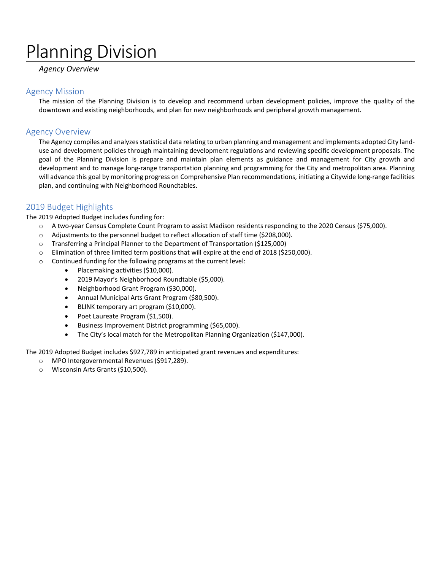# Planning Division

## *Agency Overview*

## Agency Mission

The mission of the Planning Division is to develop and recommend urban development policies, improve the quality of the downtown and existing neighborhoods, and plan for new neighborhoods and peripheral growth management.

# Agency Overview

The Agency compiles and analyzes statistical data relating to urban planning and management and implements adopted City landuse and development policies through maintaining development regulations and reviewing specific development proposals. The goal of the Planning Division is prepare and maintain plan elements as guidance and management for City growth and development and to manage long-range transportation planning and programming for the City and metropolitan area. Planning will advance this goal by monitoring progress on Comprehensive Plan recommendations, initiating a Citywide long-range facilities plan, and continuing with Neighborhood Roundtables.

# 2019 Budget Highlights

The 2019 Adopted Budget includes funding for:

- o A two-year Census Complete Count Program to assist Madison residents responding to the 2020 Census (\$75,000).
- o Adjustments to the personnel budget to reflect allocation of staff time (\$208,000).
- o Transferring a Principal Planner to the Department of Transportation (\$125,000)
- o Elimination of three limited term positions that will expire at the end of 2018 (\$250,000).
- o Continued funding for the following programs at the current level:
	- Placemaking activities (\$10,000).
	- 2019 Mayor's Neighborhood Roundtable (\$5,000).
	- Neighborhood Grant Program (\$30,000).
	- Annual Municipal Arts Grant Program (\$80,500).
	- BLINK temporary art program (\$10,000).
	- Poet Laureate Program (\$1,500).
	- Business Improvement District programming (\$65,000).
	- The City's local match for the Metropolitan Planning Organization (\$147,000).

The 2019 Adopted Budget includes \$927,789 in anticipated grant revenues and expenditures:

- o MPO Intergovernmental Revenues (\$917,289).
- o Wisconsin Arts Grants (\$10,500).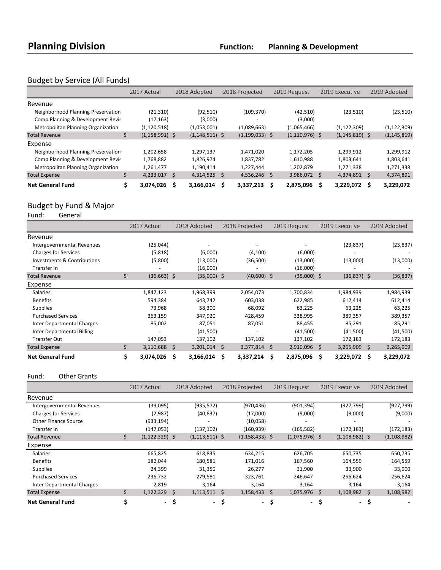# Budget by Service (All Funds)

|                                           | 2017 Actual        | 2018 Adopted       | 2018 Projected     | 2019 Request      | 2019 Executive     | 2019 Adopted   |
|-------------------------------------------|--------------------|--------------------|--------------------|-------------------|--------------------|----------------|
| Revenue                                   |                    |                    |                    |                   |                    |                |
| Neighborhood Planning Preservation        | (21, 310)          | (92, 510)          | (109, 370)         | (42, 510)         | (23,510)           | (23,510)       |
| Comp Planning & Development Revie         | (17, 163)          | (3,000)            |                    | (3,000)           |                    |                |
| <b>Metropolitan Planning Organization</b> | (1, 120, 518)      | (1,053,001)        | (1,089,663)        | (1,065,466)       | (1, 122, 309)      | (1, 122, 309)  |
| <b>Total Revenue</b>                      | $(1, 158, 991)$ \$ | $(1, 148, 511)$ \$ | $(1, 199, 033)$ \$ | $(1,110,976)$ \$  | $(1, 145, 819)$ \$ | (1, 145, 819)  |
| Expense                                   |                    |                    |                    |                   |                    |                |
| Neighborhood Planning Preservation        | 1,202,658          | 1,297,137          | 1,471,020          | 1,172,205         | 1,299,912          | 1,299,912      |
| Comp Planning & Development Revie         | 1,768,882          | 1,826,974          | 1,837,782          | 1,610,988         | 1,803,641          | 1,803,641      |
| <b>Metropolitan Planning Organization</b> | 1,261,477          | 1,190,414          | 1,227,444          | 1,202,879         | 1,271,338          | 1,271,338      |
| <b>Total Expense</b>                      | 4,233,017          | - Ś<br>4,314,525   | Ŝ.<br>4,536,246    | 3,986,072 \$<br>Ŝ | 4,374,891 \$       | 4,374,891      |
| <b>Net General Fund</b>                   | 3.074.026          | 3,166,014          | 3,337,213<br>S     | 2,875,096         | 3,229,072          | 3,229,072<br>s |

# Budget by Fund & Major<br>Fund: General

General

|                                   | 2017 Actual          |     | 2018 Adopted   | 2018 Projected  |     | 2019 Request  |    | 2019 Executive | 2019 Adopted    |
|-----------------------------------|----------------------|-----|----------------|-----------------|-----|---------------|----|----------------|-----------------|
| Revenue                           |                      |     |                |                 |     |               |    |                |                 |
| Intergovernmental Revenues        | (25, 044)            |     |                |                 |     |               |    | (23, 837)      | (23, 837)       |
| <b>Charges for Services</b>       | (5,818)              |     | (6,000)        | (4,100)         |     | (6,000)       |    |                |                 |
| Investments & Contributions       | (5,800)              |     | (13,000)       | (36,500)        |     | (13,000)      |    | (13,000)       | (13,000)        |
| Transfer In                       |                      |     | (16,000)       |                 |     | (16,000)      |    |                |                 |
| <b>Total Revenue</b>              | \$<br>$(36,663)$ \$  |     | $(35,000)$ \$  | $(40,600)$ \$   |     | $(35,000)$ \$ |    | $(36,837)$ \$  | (36, 837)       |
| Expense                           |                      |     |                |                 |     |               |    |                |                 |
| <b>Salaries</b>                   | 1,847,123            |     | 1,968,399      | 2,054,073       |     | 1,700,834     |    | 1,984,939      | 1,984,939       |
| <b>Benefits</b>                   | 594,384              |     | 643,742        | 603,038         |     | 622,985       |    | 612,414        | 612,414         |
| <b>Supplies</b>                   | 73,968               |     | 58,300         | 68,092          |     | 63,225        |    | 63,225         | 63,225          |
| <b>Purchased Services</b>         | 363,159              |     | 347,920        | 428,459         |     | 338,995       |    | 389,357        | 389,357         |
| Inter Departmental Charges        | 85,002               |     | 87,051         | 87,051          |     | 88,455        |    | 85,291         | 85,291          |
| <b>Inter Departmental Billing</b> |                      |     | (41,500)       |                 |     | (41,500)      |    | (41,500)       | (41,500)        |
| <b>Transfer Out</b>               | 147,053              |     | 137,102        | 137,102         |     | 137,102       |    | 172,183        | 172,183         |
| <b>Total Expense</b>              | \$<br>$3,110,688$ \$ |     | $3,201,014$ \$ | 3,377,814       | \$. | 2,910,096 \$  |    | 3,265,909      | \$<br>3,265,909 |
| <b>Net General Fund</b>           | \$<br>3,074,026      | \$. | 3,166,014      | \$<br>3,337,214 | Ś   | 2,875,096     | Ŝ. | 3,229,072      | \$<br>3,229,072 |

## Fund: Other Grants

|                             |    | 2017 Actual        |      | 2018 Adopted       |    | 2018 Projected     |    | 2019 Request     | 2019 Executive   |    | 2019 Adopted  |
|-----------------------------|----|--------------------|------|--------------------|----|--------------------|----|------------------|------------------|----|---------------|
| Revenue                     |    |                    |      |                    |    |                    |    |                  |                  |    |               |
| Intergovernmental Revenues  |    | (39,095)           |      | (935, 572)         |    | (970, 436)         |    | (901, 394)       | (927, 799)       |    | (927, 799)    |
| <b>Charges for Services</b> |    | (2,987)            |      | (40, 837)          |    | (17,000)           |    | (9,000)          | (9,000)          |    | (9,000)       |
| <b>Other Finance Source</b> |    | (933, 194)         |      |                    |    | (10,058)           |    |                  |                  |    |               |
| Transfer In                 |    | (147, 053)         |      | (137, 102)         |    | (160, 939)         |    | (165, 582)       | (172, 183)       |    | (172, 183)    |
| <b>Total Revenue</b>        | \$ | $(1, 122, 329)$ \$ |      | $(1, 113, 511)$ \$ |    | $(1, 158, 433)$ \$ |    | $(1,075,976)$ \$ | $(1,108,982)$ \$ |    | (1, 108, 982) |
| Expense                     |    |                    |      |                    |    |                    |    |                  |                  |    |               |
| <b>Salaries</b>             |    | 665,825            |      | 618,835            |    | 634,215            |    | 626,705          | 650,735          |    | 650,735       |
| <b>Benefits</b>             |    | 182,044            |      | 180,581            |    | 171,016            |    | 167,560          | 164,559          |    | 164,559       |
| <b>Supplies</b>             |    | 24,399             |      | 31,350             |    | 26,277             |    | 31,900           | 33,900           |    | 33,900        |
| <b>Purchased Services</b>   |    | 236,732            |      | 279,581            |    | 323,761            |    | 246,647          | 256,624          |    | 256,624       |
| Inter Departmental Charges  |    | 2,819              |      | 3,164              |    | 3,164              |    | 3,164            | 3,164            |    | 3,164         |
| <b>Total Expense</b>        | Ś. | 1,122,329          | - \$ | 1,113,511          | Ŝ. | 1,158,433          | Ŝ. | 1,075,976 \$     | 1,108,982        | Ŝ. | 1,108,982     |
| <b>Net General Fund</b>     |    | - \$               |      | - \$               |    | $\sim$             | \$ | $\sim$           | \$<br>- \$       |    |               |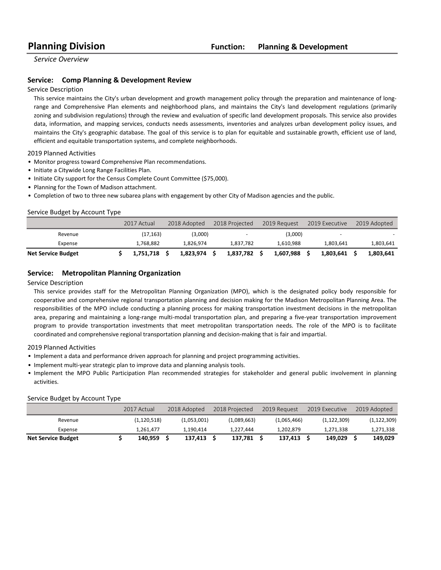*Service Overview*

## **Service:** Comp Planning & Development Review

#### Service Description

This service maintains the City's urban development and growth management policy through the preparation and maintenance of longrange and Comprehensive Plan elements and neighborhood plans, and maintains the City's land development regulations (primarily zoning and subdivision regulations) through the review and evaluation of specific land development proposals. This service also provides data, information, and mapping services, conducts needs assessments, inventories and analyzes urban development policy issues, and maintains the City's geographic database. The goal of this service is to plan for equitable and sustainable growth, efficient use of land, efficient and equitable transportation systems, and complete neighborhoods.

2019 Planned Activities

- Monitor progress toward Comprehensive Plan recommendations.
- Initiate a Citywide Long Range Facilities Plan.
- Initiate City support for the Census Complete Count Committee (\$75,000).
- Planning for the Town of Madison attachment.
- Completion of two to three new subarea plans with engagement by other City of Madison agencies and the public.

#### Service Budget by Account Type

|                           | 2017 Actual | 2018 Adopted | 2018 Projected           | 2019 Request | 2019 Executive           | 2019 Adopted |
|---------------------------|-------------|--------------|--------------------------|--------------|--------------------------|--------------|
| Revenue                   | (17, 163)   | (3,000)      | $\overline{\phantom{0}}$ | (3,000)      | $\overline{\phantom{0}}$ |              |
| Expense                   | 1.768.882   | 1.826.974    | 1.837.782                | 1.610.988    | 1,803,641                | 1,803,641    |
| <b>Net Service Budget</b> | 1.751.718   | 1.823.974    | 1.837.782                | 1.607.988    | 1.803.641                | 1.803.641    |

#### **Service:** Metropolitan Planning Organization

#### Service Description

This service provides staff for the Metropolitan Planning Organization (MPO), which is the designated policy body responsible for cooperative and comprehensive regional transportation planning and decision making for the Madison Metropolitan Planning Area. The responsibilities of the MPO include conducting a planning process for making transportation investment decisions in the metropolitan area, preparing and maintaining a long-range multi-modal transportation plan, and preparing a five-year transportation improvement program to provide transportation investments that meet metropolitan transportation needs. The role of the MPO is to facilitate coordinated and comprehensive regional transportation planning and decision-making that is fair and impartial.

2019 Planned Activities

- Implement a data and performance driven approach for planning and project programming activities.
- Implement multi-year strategic plan to improve data and planning analysis tools.
- Implement the MPO Public Participation Plan recommended strategies for stakeholder and general public involvement in planning activities.

#### Service Budget by Account Type

|                           | 2017 Actual   | 2018 Adopted | 2018 Projected | 2019 Request | 2019 Executive | 2019 Adopted  |
|---------------------------|---------------|--------------|----------------|--------------|----------------|---------------|
| Revenue                   | (1, 120, 518) | (1,053,001)  | (1,089,663)    | (1,065,466)  | (1, 122, 309)  | (1, 122, 309) |
| Expense                   | 1.261.477     | 1.190.414    | 1.227.444      | 1,202,879    | 1,271,338      | 1,271,338     |
| <b>Net Service Budget</b> | 140.959       | 137.413      | 137.781        | 137.413      | 149.029        | 149,029       |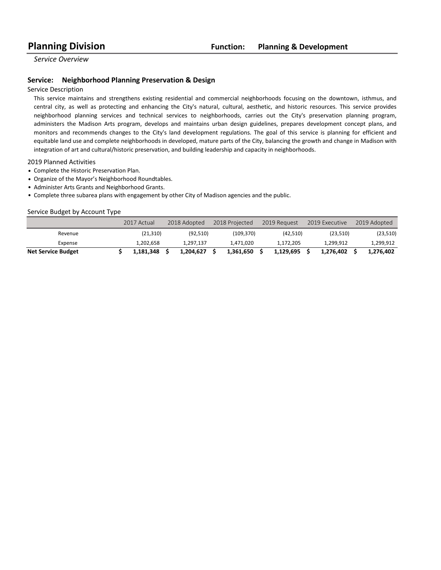*Service Overview*

### **Service:** Neighborhood Planning Preservation & Design

#### Service Description

This service maintains and strengthens existing residential and commercial neighborhoods focusing on the downtown, isthmus, and central city, as well as protecting and enhancing the City's natural, cultural, aesthetic, and historic resources. This service provides neighborhood planning services and technical services to neighborhoods, carries out the City's preservation planning program, administers the Madison Arts program, develops and maintains urban design guidelines, prepares development concept plans, and monitors and recommends changes to the City's land development regulations. The goal of this service is planning for efficient and equitable land use and complete neighborhoods in developed, mature parts of the City, balancing the growth and change in Madison with integration of art and cultural/historic preservation, and building leadership and capacity in neighborhoods.

#### 2019 Planned Activities

- Complete the Historic Preservation Plan.
- Organize of the Mayor's Neighborhood Roundtables.
- Administer Arts Grants and Neighborhood Grants.
- Complete three subarea plans with engagement by other City of Madison agencies and the public.

#### Service Budget by Account Type

|                           | 2017 Actual | 2018 Adopted | 2018 Projected | 2019 Request | 2019 Executive | 2019 Adopted |
|---------------------------|-------------|--------------|----------------|--------------|----------------|--------------|
| Revenue                   | (21, 310)   | (92,510)     | (109, 370)     | (42, 510)    | (23,510)       | (23,510)     |
| Expense                   | 1.202.658   | 1.297.137    | 1,471,020      | 1.172.205    | 1.299.912      | 1,299,912    |
| <b>Net Service Budget</b> | 1.181.348   | 1.204.627    | 1.361.650      | 1.129.695    | 1.276.402      | 1.276.402    |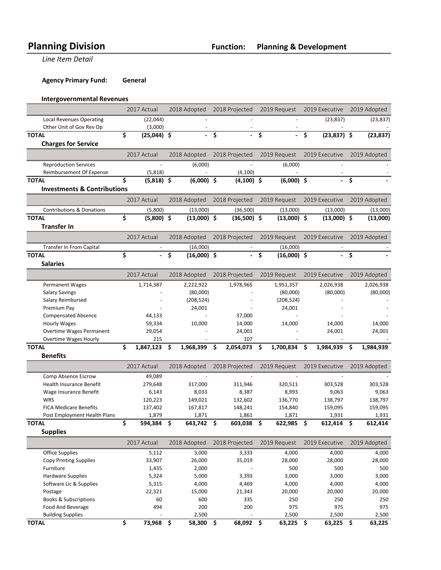**Line Item Detail** 

**Agency Primary Fund: General** 

# **Intergovernmental Revenues**

|                                        | 2017 Actual         | 2018 Adopted                    |    | 2018 Projected   |      | 2019 Request              | 2019 Executive      |      | 2019 Adopted |
|----------------------------------------|---------------------|---------------------------------|----|------------------|------|---------------------------|---------------------|------|--------------|
| <b>Local Revenues Operating</b>        | (22,044)            |                                 |    |                  |      |                           | (23, 837)           |      | (23, 837)    |
| Other Unit of Gov Rev Op               | (3,000)             |                                 |    |                  |      |                           |                     |      |              |
| <b>TOTAL</b>                           | \$<br>$(25,044)$ \$ |                                 | \$ |                  | \$   |                           | \$<br>$(23,837)$ \$ |      | (23, 837)    |
| <b>Charges for Service</b>             |                     |                                 |    |                  |      |                           |                     |      |              |
|                                        | 2017 Actual         | 2018 Adopted                    |    | 2018 Projected   |      | 2019 Request              | 2019 Executive      |      | 2019 Adopted |
| <b>Reproduction Services</b>           |                     | (6,000)                         |    |                  |      | (6,000)                   |                     |      |              |
| Reimbursement Of Expense               | (5,818)             |                                 |    | (4, 100)         |      |                           |                     |      |              |
| <b>TOTAL</b>                           | \$<br>$(5,818)$ \$  | $(6,000)$ \$                    |    | $(4,100)$ \$     |      | $(6,000)$ \$              |                     | \$   |              |
| <b>Investments &amp; Contributions</b> |                     |                                 |    |                  |      |                           |                     |      |              |
|                                        | 2017 Actual         | 2018 Adopted                    |    | 2018 Projected   |      | 2019 Request              | 2019 Executive      |      | 2019 Adopted |
| <b>Contributions &amp; Donations</b>   | (5,800)             | (13,000)                        |    | (36,500)         |      | (13,000)                  | (13,000)            |      | (13,000)     |
| <b>TOTAL</b>                           | \$<br>$(5,800)$ \$  | $(13,000)$ \$                   |    | $(36,500)$ \$    |      | $(13,000)$ \$             | $(13,000)$ \$       |      | (13,000)     |
| <b>Transfer In</b>                     |                     |                                 |    |                  |      |                           |                     |      |              |
|                                        | 2017 Actual         | 2018 Adopted                    |    | 2018 Projected   |      | 2019 Request              | 2019 Executive      |      | 2019 Adopted |
| Transfer In From Capital               |                     |                                 |    |                  |      |                           |                     |      |              |
| <b>TOTAL</b>                           | \$                  | \$<br>(16,000)<br>$(16,000)$ \$ |    |                  | \$   | (16,000)<br>$(16,000)$ \$ |                     | \$   |              |
| <b>Salaries</b>                        |                     |                                 |    |                  |      |                           |                     |      |              |
|                                        |                     |                                 |    |                  |      |                           |                     |      |              |
|                                        | 2017 Actual         | 2018 Adopted                    |    | 2018 Projected   |      | 2019 Request              | 2019 Executive      |      | 2019 Adopted |
| <b>Permanent Wages</b>                 | 1,714,387           | 2,222,922                       |    | 1,978,965        |      | 1,951,357                 | 2,026,938           |      | 2,026,938    |
| <b>Salary Savings</b>                  |                     | (80,000)                        |    |                  |      | (80,000)                  | (80,000)            |      | (80,000)     |
| Salary Reimbursed                      |                     | (208, 524)                      |    |                  |      | (208, 524)                |                     |      |              |
| Premium Pay                            |                     | 24,001                          |    |                  |      | 24,001                    |                     |      |              |
| <b>Compensated Absence</b>             | 44,133              |                                 |    | 37,000           |      |                           |                     |      |              |
| <b>Hourly Wages</b>                    | 59,334              | 10,000                          |    | 14,000           |      | 14,000                    | 14,000              |      | 14,000       |
| Overtime Wages Permanent               | 29,054              |                                 |    | 24,001           |      |                           | 24,001              |      | 24,001       |
| Overtime Wages Hourly<br><b>TOTAL</b>  | 215                 | \$                              | Ŝ. | 107<br>2,054,073 |      | 1,700,834                 | \$                  |      |              |
| <b>Benefits</b>                        | \$<br>1,847,123     | 1,968,399                       |    |                  | \$   |                           | 1,984,939           | \$.  | 1,984,939    |
|                                        |                     |                                 |    |                  |      |                           |                     |      |              |
|                                        | 2017 Actual         | 2018 Adopted                    |    | 2018 Projected   |      | 2019 Request              | 2019 Executive      |      | 2019 Adopted |
| Comp Absence Escrow                    | 49,089              |                                 |    |                  |      |                           |                     |      |              |
| Health Insurance Benefit               | 279,648             | 317,000                         |    | 311,946          |      | 320,511                   | 303,528             |      | 303,528      |
| Wage Insurance Benefit                 | 6,143               | 8,033                           |    | 8,387            |      | 8,993                     | 9,063               |      | 9,063        |
| <b>WRS</b>                             | 120,223             | 149,021                         |    | 132,602          |      | 136,770                   | 138,797             |      | 138,797      |
| <b>FICA Medicare Benefits</b>          | 137,402             | 167,817                         |    | 148,241          |      | 154,840                   | 159,095             |      | 159,095      |
| Post Employment Health Plans           | \$<br>1,879         | 1,871                           |    | 1,861            |      | 1,871                     | 1,931               |      | 1,931        |
| <b>TOTAL</b>                           | 594,384             | \$<br>643,742 \$                |    | 603,038          | - \$ | 622,985                   | \$<br>612,414       | \$   | 612,414      |
| <b>Supplies</b>                        |                     |                                 |    |                  |      |                           |                     |      |              |
|                                        | 2017 Actual         | 2018 Adopted                    |    | 2018 Projected   |      | 2019 Request              | 2019 Executive      |      | 2019 Adopted |
| <b>Office Supplies</b>                 | 5,112               | 3,000                           |    | 3,333            |      | 4,000                     | 4,000               |      | 4,000        |
| <b>Copy Printing Supplies</b>          | 33,907              | 26,000                          |    | 35,019           |      | 28,000                    | 28,000              |      | 28,000       |
| Furniture                              | 1,435               | 2,000                           |    |                  |      | 500                       | 500                 |      | 500          |
| <b>Hardware Supplies</b>               | 5,324               | 5,000                           |    | 3,393            |      | 3,000                     | 3,000               |      | 3,000        |
| Software Lic & Supplies                | 5,315               | 4,000                           |    | 4,469            |      | 4,000                     | 4,000               |      | 4,000        |
| Postage                                | 22,321              | 15,000                          |    | 21,343           |      | 20,000                    | 20,000              |      | 20,000       |
| <b>Books &amp; Subscriptions</b>       | 60                  | 600                             |    | 335              |      | 250                       | 250                 |      | 250          |
| Food And Beverage                      | 494                 | 200                             |    | 200              |      | 975                       | 975                 |      | 975          |
| <b>Building Supplies</b>               |                     | 2,500                           |    |                  |      | 2,500                     | 2,500               |      | 2,500        |
| <b>TOTAL</b>                           | \$<br>73,968        | \$<br>58,300 \$                 |    | 68,092 \$        |      | $63,225$ \$               | 63,225              | - \$ | 63,225       |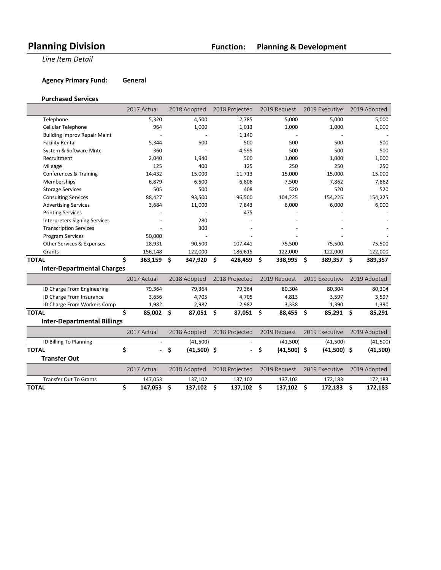**Line Item Detail** 

**Agency Primary Fund: General** 

#### **Purchased Services**

|                                      | 2017 Actual                    | 2018 Adopted        | 2018 Projected           | 2019 Request        | 2019 Executive |     | 2019 Adopted |
|--------------------------------------|--------------------------------|---------------------|--------------------------|---------------------|----------------|-----|--------------|
| Telephone                            | 5,320                          | 4,500               | 2,785                    | 5,000               | 5,000          |     | 5,000        |
| Cellular Telephone                   | 964                            | 1,000               | 1,013                    | 1,000               | 1,000          |     | 1,000        |
| <b>Building Improv Repair Maint</b>  |                                |                     | 1,140                    |                     |                |     |              |
| <b>Facility Rental</b>               | 5,344                          | 500                 | 500                      | 500                 | 500            |     | 500          |
| System & Software Mntc               | 360                            |                     | 4,595                    | 500                 | 500            |     | 500          |
| Recruitment                          | 2,040                          | 1,940               | 500                      | 1,000               | 1,000          |     | 1,000        |
| Mileage                              | 125                            | 400                 | 125                      | 250                 | 250            |     | 250          |
| Conferences & Training               | 14,432                         | 15,000              | 11,713                   | 15,000              | 15,000         |     | 15,000       |
| Memberships                          | 6,879                          | 6,500               | 6,806                    | 7,500               | 7,862          |     | 7,862        |
| <b>Storage Services</b>              | 505                            | 500                 | 408                      | 520                 | 520            |     | 520          |
| <b>Consulting Services</b>           | 88,427                         | 93,500              | 96,500                   | 104,225             | 154,225        |     | 154,225      |
| <b>Advertising Services</b>          | 3,684                          | 11,000              | 7,843                    | 6,000               | 6,000          |     | 6,000        |
| <b>Printing Services</b>             |                                |                     | 475                      |                     |                |     |              |
| <b>Interpreters Signing Services</b> |                                | 280                 |                          |                     |                |     |              |
| <b>Transcription Services</b>        |                                | 300                 |                          |                     |                |     |              |
| <b>Program Services</b>              | 50,000                         |                     |                          |                     |                |     |              |
| Other Services & Expenses            | 28,931                         | 90,500              | 107,441                  | 75,500              | 75,500         |     | 75,500       |
| Grants                               | 156,148                        | 122,000             | 186,615                  | 122,000             | 122,000        |     | 122,000      |
| <b>TOTAL</b>                         | \$<br>363,159                  | \$<br>347,920       | \$<br>428,459            | \$<br>338,995       | \$<br>389,357  | \$. | 389,357      |
| <b>Inter-Departmental Charges</b>    |                                |                     |                          |                     |                |     |              |
|                                      | 2017 Actual                    | 2018 Adopted        | 2018 Projected           | 2019 Request        | 2019 Executive |     | 2019 Adopted |
| ID Charge From Engineering           | 79,364                         | 79,364              | 79,364                   | 80,304              | 80,304         |     | 80,304       |
| ID Charge From Insurance             | 3,656                          | 4,705               | 4,705                    | 4,813               | 3,597          |     | 3,597        |
| ID Charge From Workers Comp          | 1,982                          | 2,982               | 2,982                    | 3,338               | 1,390          |     | 1,390        |
| <b>TOTAL</b>                         | \$<br>85,002                   | \$<br>87,051        | \$<br>87,051             | - \$<br>88,455      | \$<br>85,291   | \$. | 85,291       |
| <b>Inter-Departmental Billings</b>   |                                |                     |                          |                     |                |     |              |
|                                      | 2017 Actual                    | 2018 Adopted        | 2018 Projected           | 2019 Request        | 2019 Executive |     | 2019 Adopted |
| ID Billing To Planning               |                                | (41,500)            |                          | (41,500)            | (41,500)       |     | (41,500)     |
| <b>TOTAL</b>                         | \$<br>$\overline{\phantom{0}}$ | \$<br>$(41,500)$ \$ | $\overline{\phantom{0}}$ | \$<br>$(41,500)$ \$ | $(41,500)$ \$  |     | (41,500)     |

| <b>Transfer Out</b>    |             |              |                |              |                             |         |
|------------------------|-------------|--------------|----------------|--------------|-----------------------------|---------|
|                        | 2017 Actual | 2018 Adopted | 2018 Projected | 2019 Reauest | 2019 Executive 2019 Adopted |         |
| Transfer Out To Grants | 147.053     | 137.102      | 137.102        | 137.102      | 172.183                     | 172,183 |
| <b>TOTAL</b>           | 147.053     | 137.102      | 137.102        | 137.102      | 172.183                     | 172.183 |